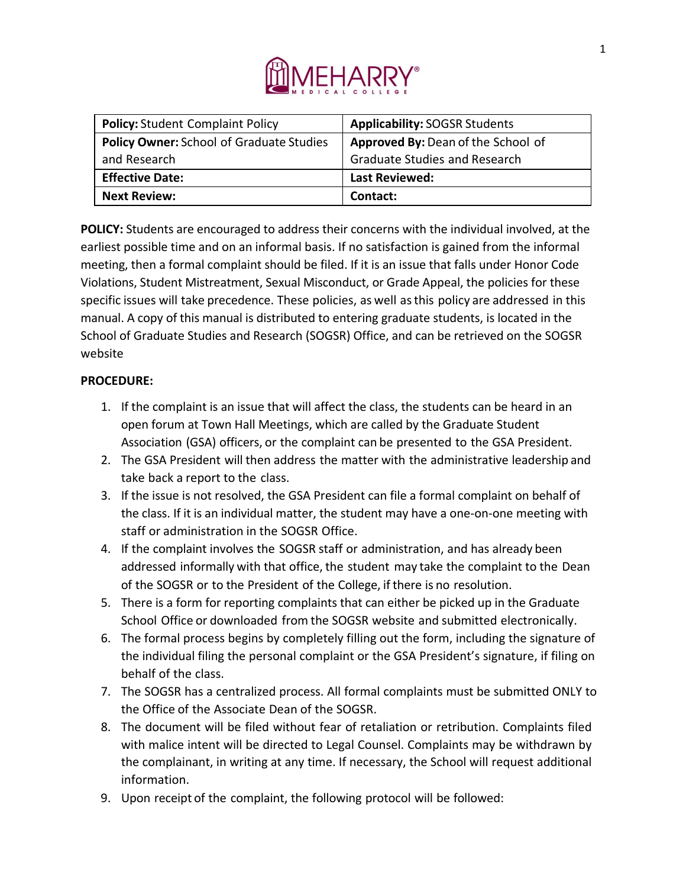

| <b>Policy: Student Complaint Policy</b>         | <b>Applicability: SOGSR Students</b> |
|-------------------------------------------------|--------------------------------------|
| <b>Policy Owner: School of Graduate Studies</b> | Approved By: Dean of the School of   |
| and Research                                    | <b>Graduate Studies and Research</b> |
| <b>Effective Date:</b>                          | <b>Last Reviewed:</b>                |
| <b>Next Review:</b>                             | Contact:                             |

**POLICY:** Students are encouraged to address their concerns with the individual involved, at the earliest possible time and on an informal basis. If no satisfaction is gained from the informal meeting, then a formal complaint should be filed. If it is an issue that falls under Honor Code Violations, Student Mistreatment, Sexual Misconduct, or Grade Appeal, the policies for these specific issues will take precedence. These policies, as well as this policy are addressed in this manual. A copy of this manual is distributed to entering graduate students, is located in the School of Graduate Studies and Research (SOGSR) Office, and can be retrieved on the SOGSR website

## **PROCEDURE:**

- 1. If the complaint is an issue that will affect the class, the students can be heard in an open forum at Town Hall Meetings, which are called by the Graduate Student Association (GSA) officers, or the complaint can be presented to the GSA President.
- 2. The GSA President will then address the matter with the administrative leadership and take back a report to the class.
- 3. If the issue is not resolved, the GSA President can file a formal complaint on behalf of the class. If it is an individual matter, the student may have a one-on-one meeting with staff or administration in the SOGSR Office.
- 4. If the complaint involves the SOGSR staff or administration, and has already been addressed informally with that office, the student may take the complaint to the Dean of the SOGSR or to the President of the College, if there is no resolution.
- 5. There is a form for reporting complaints that can either be picked up in the Graduate School Office or downloaded from the SOGSR website and submitted electronically.
- 6. The formal process begins by completely filling out the form, including the signature of the individual filing the personal complaint or the GSA President's signature, if filing on behalf of the class.
- 7. The SOGSR has a centralized process. All formal complaints must be submitted ONLY to the Office of the Associate Dean of the SOGSR.
- 8. The document will be filed without fear of retaliation or retribution. Complaints filed with malice intent will be directed to Legal Counsel. Complaints may be withdrawn by the complainant, in writing at any time. If necessary, the School will request additional information.
- 9. Upon receipt of the complaint, the following protocol will be followed: